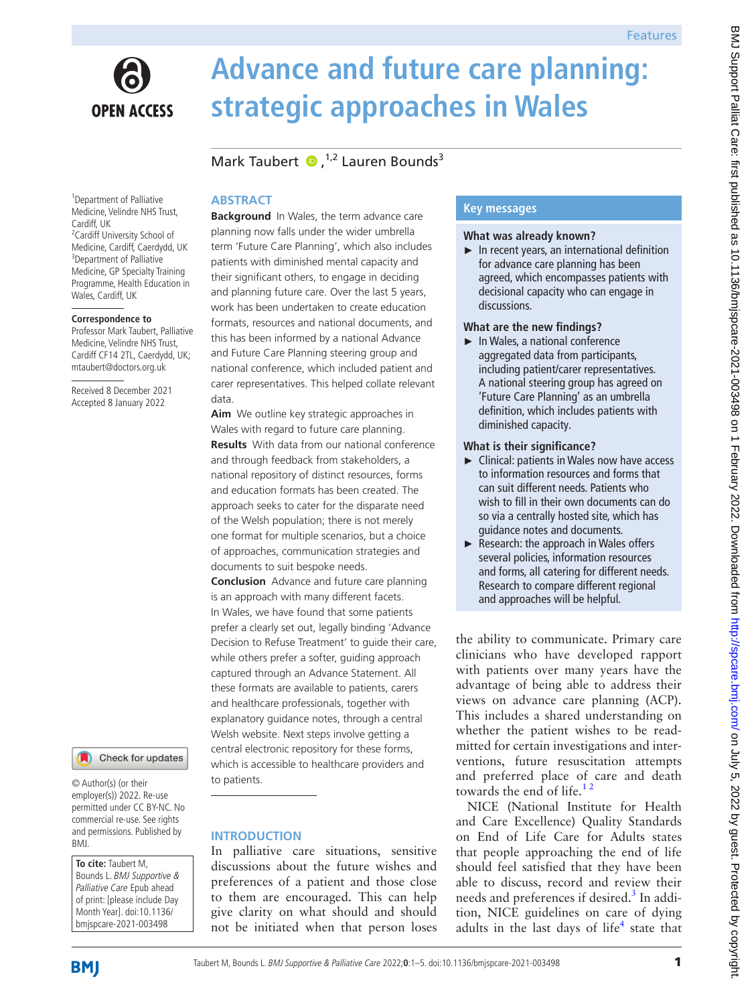

# **Advance and future care planning: strategic approaches in Wales**

# MarkTaubert  $\bullet$ ,<sup>1,2</sup> Lauren Bounds<sup>3</sup>

# **ABSTRACT**

<sup>1</sup> Department of Palliative Medicine, Velindre NHS Trust, Cardiff, UK <sup>2</sup> Cardiff University School of Medicine, Cardiff, Caerdydd, UK <sup>3</sup>Department of Palliative Medicine, GP Specialty Training Programme, Health Education in Wales, Cardiff, UK

#### **Correspondence to**

Professor Mark Taubert, Palliative Medicine, Velindre NHS Trust, Cardiff CF14 2TL, Caerdydd, UK; mtaubert@doctors.org.uk

Received 8 December 2021 Accepted 8 January 2022



© Author(s) (or their employer(s)) 2022. Re-use permitted under CC BY-NC. No commercial re-use. See rights and permissions. Published by BMJ.

**To cite:** Taubert M, Bounds L. BMJ Supportive & Palliative Care Epub ahead of print: [please include Day Month Year]. doi:10.1136/ bmjspcare-2021-003498

**Background** In Wales, the term advance care planning now falls under the wider umbrella term 'Future Care Planning', which also includes patients with diminished mental capacity and their significant others, to engage in deciding and planning future care. Over the last 5 years, work has been undertaken to create education formats, resources and national documents, and this has been informed by a national Advance and Future Care Planning steering group and national conference, which included patient and carer representatives. This helped collate relevant data.

**Aim** We outline key strategic approaches in Wales with regard to future care planning. **Results** With data from our national conference and through feedback from stakeholders, a national repository of distinct resources, forms and education formats has been created. The approach seeks to cater for the disparate need of the Welsh population; there is not merely one format for multiple scenarios, but a choice of approaches, communication strategies and documents to suit bespoke needs.

**Conclusion** Advance and future care planning is an approach with many different facets. In Wales, we have found that some patients prefer a clearly set out, legally binding 'Advance Decision to Refuse Treatment' to guide their care, while others prefer a softer, guiding approach captured through an Advance Statement. All these formats are available to patients, carers and healthcare professionals, together with explanatory guidance notes, through a central Welsh website. Next steps involve getting a central electronic repository for these forms, which is accessible to healthcare providers and to patients.

# **INTRODUCTION**

In palliative care situations, sensitive discussions about the future wishes and preferences of a patient and those close to them are encouraged. This can help give clarity on what should and should not be initiated when that person loses

# **Key messages**

#### **What was already known?**

► In recent years, an international definition for advance care planning has been agreed, which encompasses patients with decisional capacity who can engage in discussions.

#### **What are the new findings?**

► In Wales, a national conference aggregated data from participants, including patient/carer representatives. A national steering group has agreed on 'Future Care Planning' as an umbrella definition, which includes patients with diminished capacity.

#### **What is their significance?**

- ► Clinical: patients in Wales now have access to information resources and forms that can suit different needs. Patients who wish to fill in their own documents can do so via a centrally hosted site, which has guidance notes and documents.
- ► Research: the approach in Wales offers several policies, information resources and forms, all catering for different needs. Research to compare different regional and approaches will be helpful.

the ability to communicate. Primary care clinicians who have developed rapport with patients over many years have the advantage of being able to address their views on advance care planning (ACP). This includes a shared understanding on whether the patient wishes to be readmitted for certain investigations and interventions, future resuscitation attempts and preferred place of care and death towards the end of life. $12$ 

NICE (National Institute for Health and Care Excellence) Quality Standards on End of Life Care for Adults states that people approaching the end of life should feel satisfied that they have been able to discuss, record and review their needs and preferences if desired.<sup>3</sup> In addition, NICE guidelines on care of dying adults in the last days of life<sup>[4](#page-4-2)</sup> state that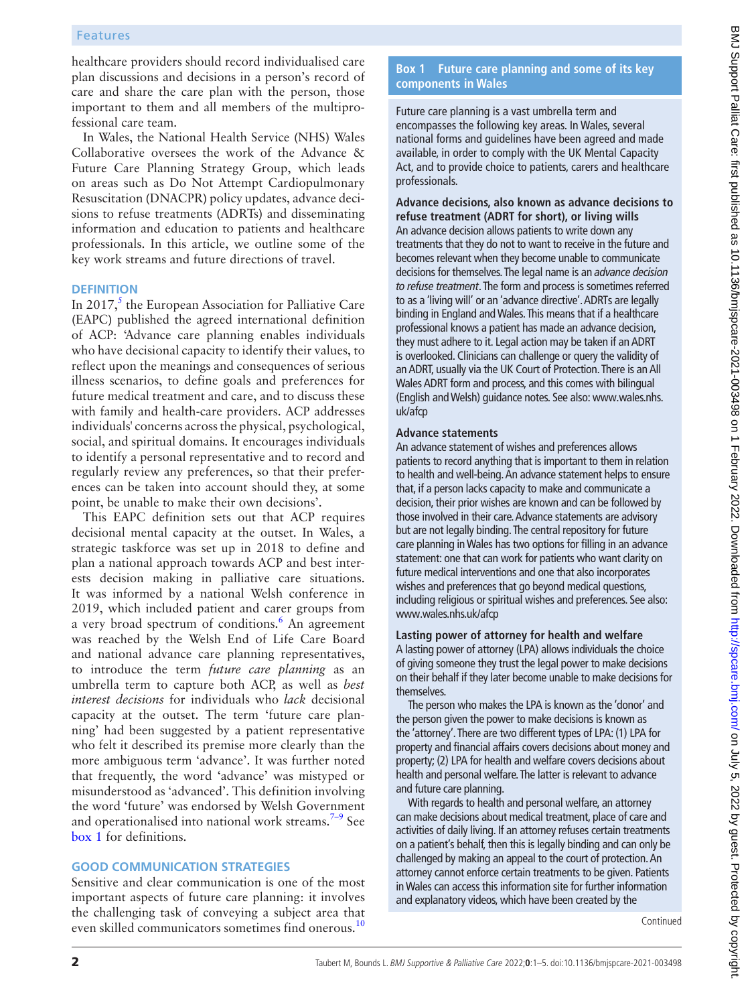# Features

healthcare providers should record individualised care plan discussions and decisions in a person's record of care and share the care plan with the person, those important to them and all members of the multiprofessional care team.

In Wales, the National Health Service (NHS) Wales Collaborative oversees the work of the Advance & Future Care Planning Strategy Group, which leads on areas such as Do Not Attempt Cardiopulmonary Resuscitation (DNACPR) policy updates, advance decisions to refuse treatments (ADRTs) and disseminating information and education to patients and healthcare professionals. In this article, we outline some of the key work streams and future directions of travel.

#### **DEFINITION**

In 2017, $<sup>5</sup>$  $<sup>5</sup>$  $<sup>5</sup>$  the European Association for Palliative Care</sup> (EAPC) published the agreed international definition of ACP: ['Advance care planning](https://www.sciencedirect.com/topics/medicine-and-dentistry/advance-care-planning) enables individuals who have decisional capacity to identify their values, to reflect upon the meanings and consequences of serious illness scenarios, to define goals and preferences for future medical treatment and care, and to discuss these with family and health-care providers. ACP addresses individuals' concerns across the physical, psychological, social, and spiritual domains. It encourages individuals to identify a personal representative and to record and regularly review any preferences, so that their preferences can be taken into account should they, at some point, be unable to make their own decisions'.

This EAPC definition sets out that ACP requires decisional mental capacity at the outset. In Wales, a strategic taskforce was set up in 2018 to define and plan a national approach towards ACP and best interests decision making in palliative care situations. It was informed by a national Welsh conference in 2019, which included patient and carer groups from a very broad spectrum of conditions.<sup>[6](#page-4-4)</sup> An agreement was reached by the Welsh End of Life Care Board and national advance care planning representatives, to introduce the term *future care planning* as an umbrella term to capture both ACP, as well as *best interest decisions* for individuals who *lack* decisional capacity at the outset. The term 'future care planning' had been suggested by a patient representative who felt it described its premise more clearly than the more ambiguous term 'advance'. It was further noted that frequently, the word 'advance' was mistyped or misunderstood as 'advanced'. This definition involving the word 'future' was endorsed by Welsh Government and operationalised into national work streams.<sup>[7–9](#page-4-5)</sup> See [box](#page-1-0) 1 for definitions.

#### **GOOD COMMUNICATION STRATEGIES**

Sensitive and clear communication is one of the most important aspects of future care planning: it involves the challenging task of conveying a subject area that even skilled communicators sometimes find onerous.<sup>10</sup>

# **Box 1 Future care planning and some of its key components in Wales**

<span id="page-1-0"></span>Future care planning is a vast umbrella term and encompasses the following key areas. In Wales, several national forms and guidelines have been agreed and made available, in order to comply with the UK Mental Capacity Act, and to provide choice to patients, carers and healthcare professionals.

**Advance decisions, also known as advance decisions to refuse treatment (ADRT for short), or living wills** An advance decision allows patients to write down any treatments that they do not to want to receive in the future and becomes relevant when they become unable to communicate decisions for themselves. The legal name is an *advance decision to refuse treatment*. The form and process is sometimes referred to as a 'living will' or an 'advance directive'. ADRTs are legally binding in England and Wales. This means that if a healthcare professional knows a patient has made an advance decision, they must adhere to it. Legal action may be taken if an ADRT is overlooked. Clinicians can challenge or query the validity of an ADRT, usually via the UK Court of Protection. There is an All Wales ADRT form and process, and this comes with bilingual (English and Welsh) guidance notes. See also: www.wales.nhs. uk/afcp

#### **Advance statements**

An advance statement of wishes and preferences allows patients to record anything that is important to them in relation to health and well-being. An advance statement helps to ensure that, if a person lacks capacity to make and communicate a decision, their prior wishes are known and can be followed by those involved in their care. Advance statements are advisory but are not legally binding. The central repository for future care planning in Wales has two options for filling in an advance statement: one that can work for patients who want clarity on future medical interventions and one that also incorporates wishes and preferences that go beyond medical questions, including religious or spiritual wishes and preferences. See also: www.wales.nhs.uk/afcp

#### **Lasting power of attorney for health and welfare**

A lasting power of attorney (LPA) allows individuals the choice of giving someone they trust the legal power to make decisions on their behalf if they later become unable to make decisions for themselves.

The person who makes the LPA is known as the 'donor' and the person given the power to make decisions is known as the 'attorney'. There are two different types of LPA: (1) LPA for property and financial affairs covers decisions about money and property; (2) LPA for health and welfare covers decisions about health and personal welfare. The latter is relevant to advance and future care planning.

With regards to health and personal welfare, an attorney can make decisions about medical treatment, place of care and activities of daily living. If an attorney refuses certain treatments on a patient's behalf, then this is legally binding and can only be challenged by making an appeal to the court of protection. An attorney cannot enforce certain treatments to be given. Patients in Wales can access this information site for further information and explanatory videos, which have been created by the

Continued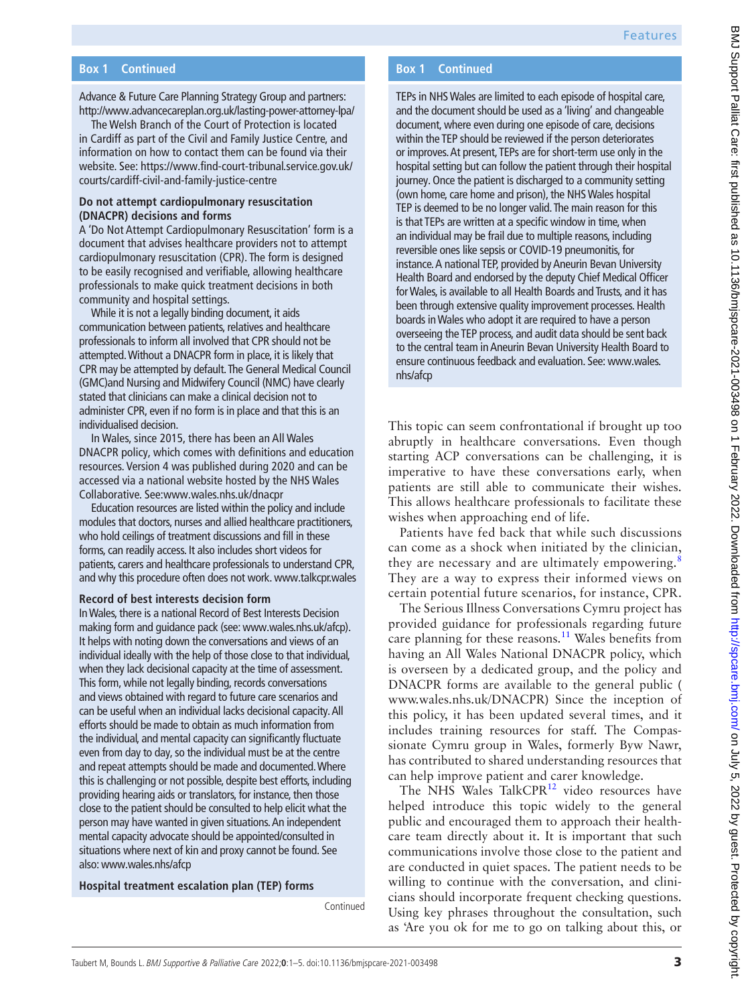# **Box 1 Continued**

Advance & Future Care Planning Strategy Group and partners: <http://www.advancecareplan.org.uk/lasting-power-attorney-lpa/>

The Welsh Branch of the Court of Protection is located in Cardiff as part of the Civil and Family Justice Centre, and information on how to contact them can be found via their website. See: [https://www.find-court-tribunal.service.gov.uk/](https://www.find-court-tribunal.service.gov.uk/courts/cardiff-civil-and-family-justice-centre) [courts/cardiff-civil-and-family-justice-centre](https://www.find-court-tribunal.service.gov.uk/courts/cardiff-civil-and-family-justice-centre)

## **Do not attempt cardiopulmonary resuscitation (DNACPR) decisions and forms**

A 'Do Not Attempt Cardiopulmonary Resuscitation' form is a document that advises healthcare providers not to attempt cardiopulmonary resuscitation (CPR). The form is designed to be easily recognised and verifiable, allowing healthcare professionals to make quick treatment decisions in both community and hospital settings.

While it is not a legally binding document, it aids communication between patients, relatives and healthcare professionals to inform all involved that CPR should not be attempted. Without a DNACPR form in place, it is likely that CPR may be attempted by default. The General Medical Council (GMC)and Nursing and Midwifery Council (NMC) have clearly stated that clinicians can make a clinical decision not to administer CPR, even if no form is in place and that this is an individualised decision.

In Wales, since 2015, there has been an All Wales DNACPR policy, which comes with definitions and education resources. Version 4 was published during 2020 and can be accessed via a national website hosted by the NHS Wales Collaborative. See:www.wales.nhs.uk/dnacpr

Education resources are listed within the policy and include modules that doctors, nurses and allied healthcare practitioners, who hold ceilings of treatment discussions and fill in these forms, can readily access. It also includes short videos for patients, carers and healthcare professionals to understand CPR, and why this procedure often does not work. www.talkcpr.wales

#### **Record of best interests decision form**

In Wales, there is a national Record of Best Interests Decision making form and guidance pack (see: www.wales.nhs.uk/afcp). It helps with noting down the conversations and views of an individual ideally with the help of those close to that individual, when they lack decisional capacity at the time of assessment. This form, while not legally binding, records conversations and views obtained with regard to future care scenarios and can be useful when an individual lacks decisional capacity. All efforts should be made to obtain as much information from the individual, and mental capacity can significantly fluctuate even from day to day, so the individual must be at the centre and repeat attempts should be made and documented. Where this is challenging or not possible, despite best efforts, including providing hearing aids or translators, for instance, then those close to the patient should be consulted to help elicit what the person may have wanted in given situations. An independent mental capacity advocate should be appointed/consulted in situations where next of kin and proxy cannot be found. See also: www.wales.nhs/afcp

#### **Hospital treatment escalation plan (TEP) forms**

Continued

# **Box 1 Continued**

TEPs in NHS Wales are limited to each episode of hospital care, and the document should be used as a 'living' and changeable document, where even during one episode of care, decisions within the TEP should be reviewed if the person deteriorates or improves. At present, TEPs are for short-term use only in the hospital setting but can follow the patient through their hospital journey. Once the patient is discharged to a community setting (own home, care home and prison), the NHS Wales hospital TEP is deemed to be no longer valid. The main reason for this is that TEPs are written at a specific window in time, when an individual may be frail due to multiple reasons, including reversible ones like sepsis or COVID-19 pneumonitis, for instance. A national TEP, provided by Aneurin Bevan University Health Board and endorsed by the deputy Chief Medical Officer for Wales, is available to all Health Boards and Trusts, and it has been through extensive quality improvement processes. Health boards in Wales who adopt it are required to have a person overseeing the TEP process, and audit data should be sent back to the central team in Aneurin Bevan University Health Board to ensure continuous feedback and evaluation. See: www.wales. nhs/afcp

This topic can seem confrontational if brought up too abruptly in healthcare conversations. Even though starting ACP conversations can be challenging, it is imperative to have these conversations early, when patients are still able to communicate their wishes. This allows healthcare professionals to facilitate these wishes when approaching end of life.

Patients have fed back that while such discussions can come as a shock when initiated by the clinician, they are necessary and are ultimately empowering.<sup>[8](#page-4-7)</sup> They are a way to express their informed views on certain potential future scenarios, for instance, CPR.

The Serious Illness Conversations Cymru project has provided guidance for professionals regarding future care planning for these reasons.<sup>11</sup> Wales benefits from having an All Wales National DNACPR policy, which is overseen by a dedicated group, and the policy and DNACPR forms are available to the general public ( [www.wales.nhs.uk/DNACPR\)](www.wales.nhs.uk/DNACPR) Since the inception of this policy, it has been updated several times, and it includes training resources for staff. The Compassionate Cymru group in Wales, formerly Byw Nawr, has contributed to shared understanding resources that can help improve patient and carer knowledge.

The NHS Wales TalkCPR<sup>12</sup> video resources have helped introduce this topic widely to the general public and encouraged them to approach their healthcare team directly about it. It is important that such communications involve those close to the patient and are conducted in quiet spaces. The patient needs to be willing to continue with the conversation, and clinicians should incorporate frequent checking questions. Using key phrases throughout the consultation, such as 'Are you ok for me to go on talking about this, or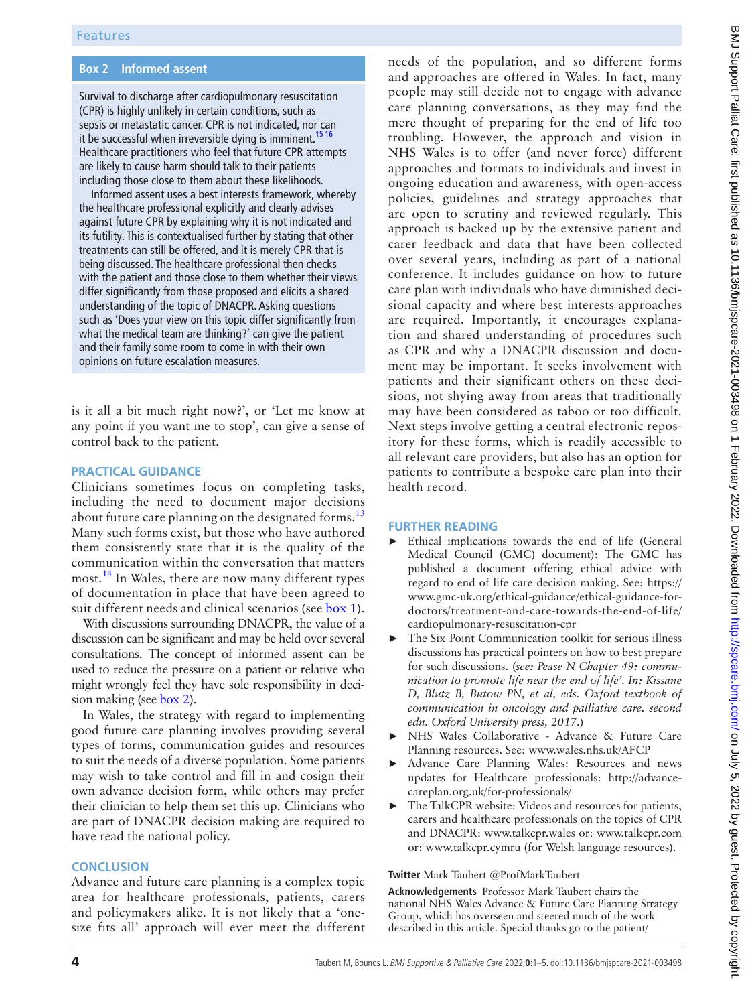# **Box 2 Informed assent**

<span id="page-3-0"></span>Survival to discharge after cardiopulmonary resuscitation (CPR) is highly unlikely in certain conditions, such as sepsis or metastatic cancer. CPR is not indicated, nor can it be successful when irreversible dying is imminent.<sup>15 16</sup> Healthcare practitioners who feel that future CPR attempts are likely to cause harm should talk to their patients including those close to them about these likelihoods.

Informed assent uses a best interests framework, whereby the healthcare professional explicitly and clearly advises against future CPR by explaining why it is not indicated and its futility. This is contextualised further by stating that other treatments can still be offered, and it is merely CPR that is being discussed. The healthcare professional then checks with the patient and those close to them whether their views differ significantly from those proposed and elicits a shared understanding of the topic of DNACPR. Asking questions such as 'Does your view on this topic differ significantly from what the medical team are thinking?' can give the patient and their family some room to come in with their own opinions on future escalation measures.

is it all a bit much right now?', or 'Let me know at any point if you want me to stop', can give a sense of control back to the patient.

# **PRACTICAL GUIDANCE**

Clinicians sometimes focus on completing tasks, including the need to document major decisions about future care planning on the designated forms.<sup>[13](#page-4-10)</sup> Many such forms exist, but those who have authored them consistently state that it is the quality of the communication within the conversation that matters most.[14](#page-4-11) In Wales, there are now many different types of documentation in place that have been agreed to suit different needs and clinical scenarios (see [box](#page-1-0) 1).

With discussions surrounding DNACPR, the value of a discussion can be significant and may be held over several consultations. The concept of informed assent can be used to reduce the pressure on a patient or relative who might wrongly feel they have sole responsibility in decision making (see [box](#page-3-0) 2).

In Wales, the strategy with regard to implementing good future care planning involves providing several types of forms, communication guides and resources to suit the needs of a diverse population. Some patients may wish to take control and fill in and cosign their own advance decision form, while others may prefer their clinician to help them set this up. Clinicians who are part of DNACPR decision making are required to have read the national policy.

#### **CONCLUSION**

Advance and future care planning is a complex topic area for healthcare professionals, patients, carers and policymakers alike. It is not likely that a 'onesize fits all' approach will ever meet the different

needs of the population, and so different forms and approaches are offered in Wales. In fact, many people may still decide not to engage with advance care planning conversations, as they may find the mere thought of preparing for the end of life too troubling. However, the approach and vision in NHS Wales is to offer (and never force) different approaches and formats to individuals and invest in ongoing education and awareness, with open-access policies, guidelines and strategy approaches that are open to scrutiny and reviewed regularly. This approach is backed up by the extensive patient and carer feedback and data that have been collected over several years, including as part of a national conference. It includes guidance on how to future care plan with individuals who have diminished decisional capacity and where best interests approaches are required. Importantly, it encourages explanation and shared understanding of procedures such as CPR and why a DNACPR discussion and document may be important. It seeks involvement with patients and their significant others on these decisions, not shying away from areas that traditionally may have been considered as taboo or too difficult. Next steps involve getting a central electronic repository for these forms, which is readily accessible to all relevant care providers, but also has an option for patients to contribute a bespoke care plan into their health record.

#### **FURTHER READING**

- Ethical implications towards the end of life (General Medical Council (GMC) document): The GMC has published a document offering ethical advice with regard to end of life care decision making. See: [https://](https://www.gmc-uk.org/ethical-guidance/ethical-guidance-for-doctors/treatment-and-care-towards-the-end-of-life/cardiopulmonary-resuscitation-cpr) [www.gmc-uk.org/ethical-guidance/ethical-guidance-for](https://www.gmc-uk.org/ethical-guidance/ethical-guidance-for-doctors/treatment-and-care-towards-the-end-of-life/cardiopulmonary-resuscitation-cpr)[doctors/treatment-and-care-towards-the-end-of-life/](https://www.gmc-uk.org/ethical-guidance/ethical-guidance-for-doctors/treatment-and-care-towards-the-end-of-life/cardiopulmonary-resuscitation-cpr) [cardiopulmonary-resuscitation-cpr](https://www.gmc-uk.org/ethical-guidance/ethical-guidance-for-doctors/treatment-and-care-towards-the-end-of-life/cardiopulmonary-resuscitation-cpr)
- The Six Point Communication toolkit for serious illness discussions has practical pointers on how to best prepare for such discussions. (*see: Pease N Chapter 49: communication to promote life near the end of life'. In: Kissane D, Blutz B, Butow PN, et al, eds. Oxford textbook of communication in oncology and palliative care. second edn. Oxford University press, 2017*.)
- NHS Wales Collaborative Advance & Future Care Planning resources. See: <www.wales.nhs.uk/AFCP>
- Advance Care Planning Wales: Resources and news updates for Healthcare professionals: [http://advance](http://advancecareplan.org.uk/for-professionals/)[careplan.org.uk/for-professionals/](http://advancecareplan.org.uk/for-professionals/)
- The TalkCPR website: Videos and resources for patients, carers and healthcare professionals on the topics of CPR and DNACPR: <www.talkcpr.wales>or:<www.talkcpr.com> or:<www.talkcpr.cymru>(for Welsh language resources).

#### **Twitter** Mark Taubert [@ProfMarkTaubert](https://twitter.com/ProfMarkTaubert)

**Acknowledgements** Professor Mark Taubert chairs the national NHS Wales Advance & Future Care Planning Strategy Group, which has overseen and steered much of the work described in this article. Special thanks go to the patient/